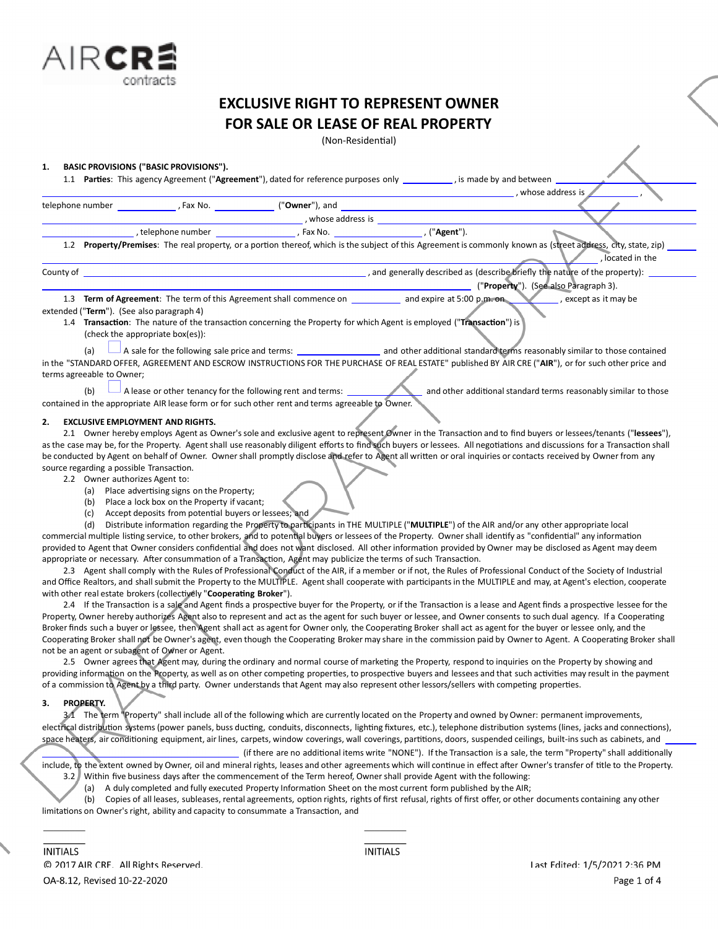

(Non-Residential)

### **1. BASIC PROVISIONS ("BASIC PROVISIONS").**

1.1 **Parties**: This agency Agreement ("Agreement"), dated for reference purposes only *\_\_\_\_\_\_\_\_*, is made by and between

|                  |                  |                         |           | , whose address is |
|------------------|------------------|-------------------------|-----------|--------------------|
| telephone number | Fax No.          | (" <b>Owner</b> "), and |           |                    |
|                  |                  | whose address is        |           |                    |
|                  | telephone number | Fax No.                 | ("Agent") |                    |

1.2 Property/Premises: The real property, or a portion thereof, which is the subject of this Agreement is commonly known as (street address, city, state, zip) , located in the

County of , and generally described as (describe briefly the nature of the property):

("**Property**"). (See also Paragraph 3). 1.3 **Term of Agreement**: The term of this Agreement shall commence on and expire at 5:00 p.m. on , except as it may be

# extended ("**Term**"). (See also paragraph 4)

1.4 **TransacƟon**: The nature of the transacƟon concerning the Property for which Agent is employed ("**TransacƟon**") is (check the appropriate box(es)):

(a) A sale for the following sale price and terms: and other additional standard terms reasonably similar to those contained in the "STANDARD OFFER, AGREEMENT AND ESCROW INSTRUCTIONS FOR THE PURCHASE OF REAL ESTATE" published BY AIR CRE ("**AIR**"), or for such other price and terms agreeable to Owner;

(b) A lease or other tenancy for the following rent and terms: and other additional standard terms reasonably similar to those contained in the appropriate AIR lease form or for such other rent and terms agreeable to Owner.

#### **2. EXCLUSIVE EMPLOYMENT AND RIGHTS.**

2.1 Owner hereby employs Agent as Owner's sole and exclusive agent to represent Owner in the Transaction and to find buyers or lessees/tenants ("lessees"), as the case may be, for the Property. Agent shall use reasonably diligent efforts to find such buyers or lessees. All negotiations and discussions for a Transaction shall be conducted by Agent on behalf of Owner. Owner shall promptly disclose and refer to Agent all written or oral inquiries or contacts received by Owner from any source regarding a possible Transaction.

2.2 Owner authorizes Agent to:

- (a) Place advertising signs on the Property;
- (b) Place a lock box on the Property if vacant;
- (c) Accept deposits from potential buyers or lessees; and

(d) Distribute information regarding the Property to participants in THE MULTIPLE ("MULTIPLE") of the AIR and/or any other appropriate local commercial multiple listing service, to other brokers, and to potential buyers or lessees of the Property. Owner shall identify as "confidential" any information provided to Agent that Owner considers confidential and does not want disclosed. All other information provided by Owner may be disclosed as Agent may deem appropriate or necessary. After consummation of a Transaction, Agent may publicize the terms of such Transaction.

2.3 Agent shall comply with the Rules of Professional Conduct of the AIR, if a member or if not, the Rules of Professional Conduct of the Society of Industrial and Office Realtors, and shall submit the Property to the MULTIPLE. Agent shall cooperate with participants in the MULTIPLE and may, at Agent's election, cooperate with other real estate brokers (collectively "Cooperating Broker").

2.4 If the Transaction is a sale and Agent finds a prospective buyer for the Property, or if the Transaction is a lease and Agent finds a prospective lessee for the Property, Owner hereby authorizes Agent also to represent and act as the agent for such buyer or lessee, and Owner consents to such dual agency. If a Cooperating Broker finds such a buyer or lessee, then Agent shall act as agent for Owner only, the Cooperating Broker shall act as agent for the buyer or lessee only, and the Cooperating Broker shall not be Owner's agent, even though the Cooperating Broker may share in the commission paid by Owner to Agent. A Cooperating Broker shall not be an agent or subagent of Owner or Agent.

2.5 Owner agrees that Agent may, during the ordinary and normal course of marketing the Property, respond to inquiries on the Property by showing and providing information on the Property, as well as on other competing properties, to prospective buyers and lessees and that such activities may result in the payment of a commission to Agent by a third party. Owner understands that Agent may also represent other lessors/sellers with competing properties.

# **3. PROPERTY.**

3.1 The term "Property" shall include all of the following which are currently located on the Property and owned by Owner: permanent improvements, electrical distribution systems (power panels, buss ducting, conduits, disconnects, lighting fixtures, etc.), telephone distribution systems (lines, jacks and connections), space heaters, air conditioning equipment, air lines, carpets, window coverings, wall coverings, partitions, doors, suspended ceilings, built-ins such as cabinets, and

(if there are no additional items write "NONE"). If the Transaction is a sale, the term "Property" shall additionally include, to the extent owned by Owner, oil and mineral rights, leases and other agreements which will continue in effect after Owner's transfer of title to the Property. 3.2 Within five business days after the commencement of the Term hereof, Owner shall provide Agent with the following:

(a) A duly completed and fully executed Property Information Sheet on the most current form published by the AIR;

(b) Copies of all leases, subleases, rental agreements, option rights, rights of first refusal, rights of first offer, or other documents containing any other limitations on Owner's right, ability and capacity to consummate a Transaction, and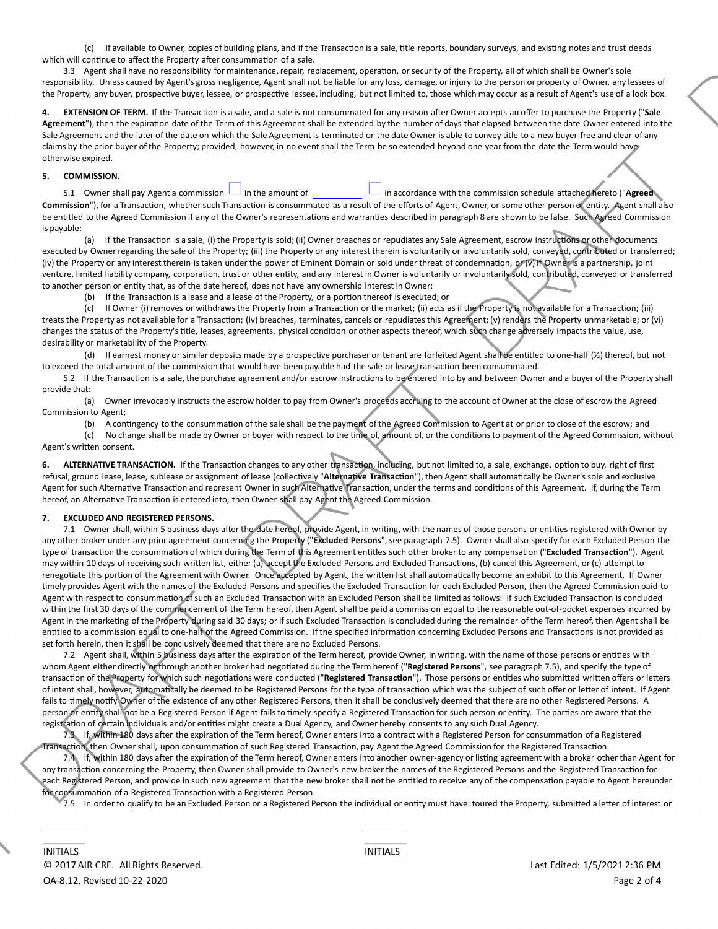(c) If available to Owner, copies of building plans, and if the Transaction is a sale, title reports, boundary surveys, and existing notes and trust deeds which will continue to affect the Property after consummation of a sale.

3.3 Agent shall have no responsibility for maintenance, repair, replacement, operation, or security of the Property, all of which shall be Owner's sole responsibility. Unless caused by Agent's gross negligence, Agent shall not be liable for any loss, damage, or injury to the person or property of Owner, any lessees of the Property, any buyer, prospective buyer, lessee, or prospective lessee, including, but not limited to, those which may occur as a result of Agent's use of a lock box.

4. EXTENSION OF TERM. If the Transaction is a sale, and a sale is not consummated for any reason after Owner accepts an offer to purchase the Property ("Sale Agreement"), then the expiration date of the Term of this Agreement shall be extended by the number of days that elapsed between the date Owner entered into the Sale Agreement and the later of the date on which the Sale Agreement is terminated or the date Owner is able to convey title to a new buyer free and clear of any claims by the prior buyer of the Property; provided, however, in no event shall the Term be so extended beyond one year from the date the Term would have otherwise expired.

### **5. COMMISSION.**

5.1 Owner shall pay Agent a commission  $\Box$  in the amount of  $\Box$  in accordance with the commission schedule attached hereto ("Agreed Commission"), for a Transaction, whether such Transaction is consummated as a result of the efforts of Agent, Owner, or some other person or entity. Agent shall also be entitled to the Agreed Commission if any of the Owner's representations and warranties described in paragraph 8 are shown to be false. Such Agreed Commission is payable:

(a) If the Transaction is a sale, (i) the Property is sold; (ii) Owner breaches or repudiates any Sale Agreement, escrow instructions or other documents executed by Owner regarding the sale of the Property; (iii) the Property or any interest therein is voluntarily or involuntarily sold, conveyed, contributed or transferred; (iv) the Property or any interest therein is taken under the power of Eminent Domain or sold under threat of condemnation, or (v) if Owner is a partnership, joint venture, limited liability company, corporation, trust or other entity, and any interest in Owner is voluntarily or involuntarily sold, contributed, conveyed or transferred to another person or entity that, as of the date hereof, does not have any ownership interest in Owner;

(b) If the Transaction is a lease and a lease of the Property, or a portion thereof is executed; or

(c) If Owner (i) removes or withdraws the Property from a Transaction or the market; (ii) acts as if the Property is not available for a Transaction; (iii) treats the Property as not available for a Transaction; (iv) breaches, terminates, cancels or repudiates this Agreement; (v) renders the Property unmarketable; or (vi) changes the status of the Property's title, leases, agreements, physical condition or other aspects thereof, which such change adversely impacts the value, use, desirability or marketability of the Property.

(d) If earnest money or similar deposits made by a prospective purchaser or tenant are forfeited Agent shall be entitled to one-half (½) thereof, but not to exceed the total amount of the commission that would have been payable had the sale or lease transaction been consummated.

5.2 If the Transaction is a sale, the purchase agreement and/or escrow instructions to be entered into by and between Owner and a buyer of the Property shall provide that:

(a) Owner irrevocably instructs the escrow holder to pay from Owner's proceeds accruing to the account of Owner at the close of escrow the Agreed Commission to Agent;

(b) A contingency to the consummation of the sale shall be the payment of the Agreed Commission to Agent at or prior to close of the escrow; and (c) No change shall be made by Owner or buyer with respect to the time of, amount of, or the conditions to payment of the Agreed Commission, without

Agent's written consent.

6. ALTERNATIVE TRANSACTION. If the Transaction changes to any other transaction, including, but not limited to, a sale, exchange, option to buy, right of first refusal, ground lease, lease, sublease or assignment of lease (collectively "Alternative Transaction"), then Agent shall automatically be Owner's sole and exclusive Agent for such Alternative Transaction and represent Owner in such Alternative Transaction, under the terms and conditions of this Agreement. If, during the Term hereof, an Alternative Transaction is entered into, then Owner shall pay Agent the Agreed Commission.

# **7. EXCLUDED AND REGISTERED PERSONS.**

7.1 Owner shall, within 5 business days after the date hereof, provide Agent, in writing, with the names of those persons or entities registered with Owner by any other broker under any prior agreement concerning the Property ("**Excluded Persons**",see paragraph 7.5). Ownershall also specify for each Excluded Person the type of transaction the consummation of which during the Term of this Agreement entitles such other broker to any compensation ("Excluded Transaction"). Agent may within 10 days of receiving such written list, either (a) accept the Excluded Persons and Excluded Transactions, (b) cancel this Agreement, or (c) attempt to renegotiate this portion of the Agreement with Owner. Once accepted by Agent, the written list shall automatically become an exhibit to this Agreement. If Owner timely provides Agent with the names of the Excluded Persons and specifies the Excluded Transaction for each Excluded Person, then the Agreed Commission paid to Agent with respect to consummation of such an Excluded Transaction with an Excluded Person shall be limited as follows: if such Excluded Transaction is concluded within the first 30 days of the commencement of the Term hereof, then Agent shall be paid a commission equal to the reasonable out-of-pocket expenses incurred by Agent in the marketing of the Property during said 30 days; or if such Excluded Transaction is concluded during the remainder of the Term hereof, then Agent shall be entitled to a commission equal to one-half of the Agreed Commission. If the specified information concerning Excluded Persons and Transactions is not provided as set forth herein, then it shall be conclusively deemed that there are no Excluded Persons.

7.2 Agent shall, within 5 business days after the expiration of the Term hereof, provide Owner, in writing, with the name of those persons or entities with whom Agent either directly or through another broker had negotiated during the Term hereof ("Registered Persons", see paragraph 7.5), and specify the type of transaction of the Property for which such negotiations were conducted ("Registered Transaction"). Those persons or entities who submitted written offers or letters of intent shall, however, automatically be deemed to be Registered Persons for the type of transaction which was the subject of such offer or letter of intent. If Agent fails to timely notify Owner of the existence of any other Registered Persons, then it shall be conclusively deemed that there are no other Registered Persons. A person or entity shall not be a Registered Person if Agent fails to timely specify a Registered Transaction for such person or entity. The parties are aware that the registration of certain individuals and/or entities might create a Dual Agency, and Owner hereby consents to any such Dual Agency.

7.3 If, within 180 days after the expiration of the Term hereof, Owner enters into a contract with a Registered Person for consummation of a Registered ransaction, then Owner shall, upon consummation of such Registered Transaction, pay Agent the Agreed Commission for the Registered Transaction.

7.4 If, within 180 days after the expiration of the Term hereof, Owner enters into another owner-agency or listing agreement with a broker other than Agent for any transaction concerning the Property, then Owner shall provide to Owner's new broker the names of the Registered Persons and the Registered Transaction for each Registered Person, and provide in such new agreement that the new broker shall not be entitled to receive any of the compensation payable to Agent hereunder for consummation of a Registered Transaction with a Registered Person.

7.5 In order to qualify to be an Excluded Person or a Registered Person the individual or entity must have: toured the Property, submitted a letter of interest or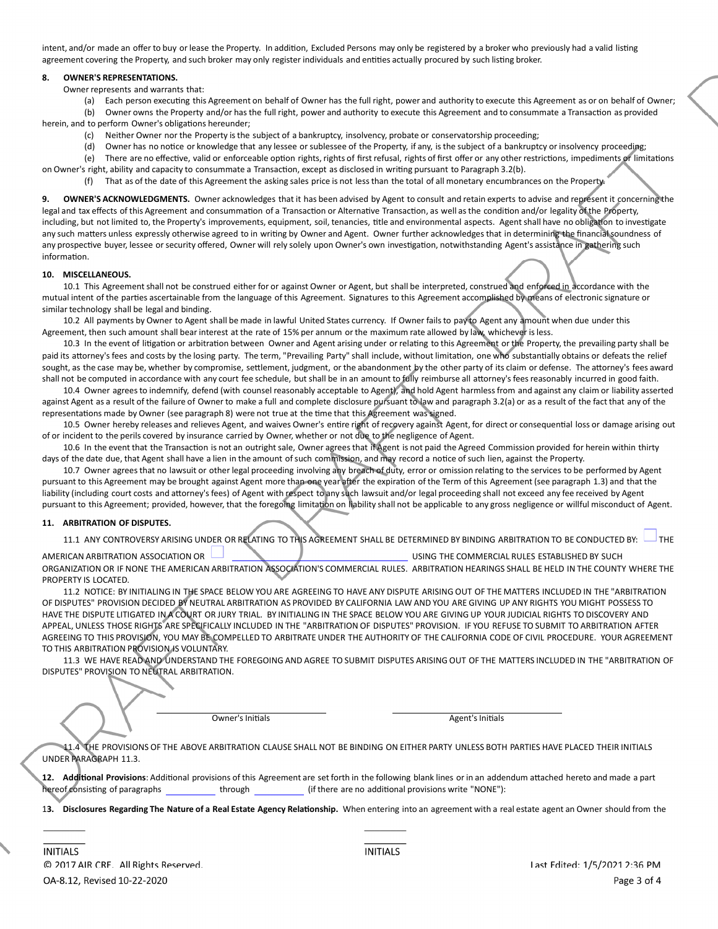intent, and/or made an offer to buy or lease the Property. In addition, Excluded Persons may only be registered by a broker who previously had a valid listing agreement covering the Property, and such broker may only register individuals and entities actually procured by such listing broker.

# **8. OWNER'S REPRESENTATIONS.**

Owner represents and warrants that:

(a) Each person executing this Agreement on behalf of Owner has the full right, power and authority to execute this Agreement as or on behalf of Owner; (b) Owner owns the Property and/or has the full right, power and authority to execute this Agreement and to consummate a Transaction as provided

herein, and to perform Owner's obligations hereunder:

- (c) Neither Owner nor the Property is the subject of a bankruptcy, insolvency, probate or conservatorship proceeding;
- (d) Owner has no notice or knowledge that any lessee or sublessee of the Property, if any, is the subject of a bankruptcy or insolvency proceeding;
- (e) There are no effective, valid or enforceable option rights, rights of first refusal, rights of first offer or any other restrictions, impediments or limitations on Owner's right, ability and capacity to consummate a Transaction, except as disclosed in writing pursuant to Paragraph 3.2(b).
	- (f) That as of the date of this Agreement the asking sales price is not less than the total of all monetary encumbrances on the Property.

**9. OWNER'S ACKNOWLEDGMENTS.** Owner acknowledges that it has been advised by Agent to consult and retain experts to advise and represent it concerning the legal and tax effects of this Agreement and consummation of a Transaction or Alternative Transaction, as well as the condition and/or legality of the Property, including, but not limited to, the Property's improvements, equipment, soil, tenancies, title and environmental aspects. Agent shall have no obligation to investigate any such matters unless expressly otherwise agreed to in writing by Owner and Agent. Owner further acknowledges that in determining the financial soundness of any prospective buyer, lessee or security offered, Owner will rely solely upon Owner's own investigation, notwithstanding Agent's assistance in gathering such information.

#### **10. MISCELLANEOUS.**

10.1 This Agreement shall not be construed either for or against Owner or Agent, but shall be interpreted, construed and enforced in accordance with the mutual intent of the parties ascertainable from the language of this Agreement. Signatures to this Agreement accomplished by means of electronic signature or similar technology shall be legal and binding.

10.2 All payments by Owner to Agent shall be made in lawful United States currency. If Owner failsto pay to Agent any amount when due under this Agreement, then such amount shall bear interest at the rate of 15% per annum or the maximum rate allowed by law, whichever is less.

10.3 In the event of litigation or arbitration between Owner and Agent arising under or relating to this Agreement or the Property, the prevailing party shall be paid its attorney's fees and costs by the losing party. The term, "Prevailing Party" shall include, without limitation, one who substantially obtains or defeats the relief sought, as the case may be, whether by compromise, settlement, judgment, or the abandonment by the other party of its claim or defense. The attorney's fees award shall not be computed in accordance with any court fee schedule, but shall be in an amount to fully reimburse all attorney's fees reasonably incurred in good faith.

10.4 Owner agrees to indemnify, defend (with counsel reasonably acceptable to Agent), and hold Agent harmless from and against any claim or liability asserted against Agent as a result of the failure of Owner to make a full and complete disclosure pursuant to law and paragraph 3.2(a) or as a result of the fact that any of the representations made by Owner (see paragraph 8) were not true at the time that this Agreement was signed.

10.5 Owner hereby releases and relieves Agent, and waives Owner's entire right of recovery against Agent, for direct or consequential loss or damage arising out of or incident to the perils covered by insurance carried by Owner, whether or not due to the negligence of Agent.

10.6 In the event that the Transaction is not an outright sale, Owner agrees that if Agent is not paid the Agreed Commission provided for herein within thirty days of the date due, that Agent shall have a lien in the amount of such commission, and may record a notice of such lien, against the Property.

10.7 Owner agrees that no lawsuit or other legal proceeding involving any breach of duty, error or omission relating to the services to be performed by Agent pursuant to this Agreement may be brought against Agent more than one year after the expiration of the Term of this Agreement (see paragraph 1.3) and that the liability (including court costs and attorney's fees) of Agent with respect to any such lawsuit and/or legal proceeding shall not exceed any fee received by Agent pursuant to this Agreement; provided, however, that the foregoing limitation on liability shall not be applicable to any gross negligence or willful misconduct of Agent.

#### **11. ARBITRATION OF DISPUTES.**

11.1 ANY CONTROVERSY ARISING UNDER OR RELATING TO THIS AGREEMENT SHALL BE DETERMINED BY BINDING ARBITRATION TO BE CONDUCTED BY:

AMERICAN ARBITRATION ASSOCIATION OR **UNITED ASSOCIATION OF A COMMERCIAL RULES ESTABLISHED BY SUCH** 

ORGANIZATION OR IF NONE THE AMERICAN ARBITRATION ASSOCIATION'S COMMERCIAL RULES. ARBITRATION HEARINGS SHALL BE HELD IN THE COUNTY WHERE THE PROPERTY IS LOCATED.

11.2 NOTICE: BY INITIALING IN THE SPACE BELOW YOU ARE AGREEING TO HAVE ANY DISPUTE ARISING OUT OF THE MATTERS INCLUDED IN THE "ARBITRATION OF DISPUTES" PROVISION DECIDED BY NEUTRAL ARBITRATION AS PROVIDED BY CALIFORNIA LAW AND YOU ARE GIVING UP ANY RIGHTS YOU MIGHT POSSESS TO HAVE THE DISPUTE LITIGATED IN A COURT OR JURY TRIAL. BY INITIALING IN THE SPACE BELOW YOU ARE GIVING UP YOUR JUDICIAL RIGHTS TO DISCOVERY AND APPEAL, UNLESS THOSE RIGHTS ARE SPECIFICALLY INCLUDED IN THE "ARBITRATION OF DISPUTES" PROVISION. IF YOU REFUSE TO SUBMIT TO ARBITRATION AFTER AGREEING TO THIS PROVISION, YOU MAY BE COMPELLED TO ARBITRATE UNDER THE AUTHORITY OF THE CALIFORNIA CODE OF CIVIL PROCEDURE. YOUR AGREEMENT TO THIS ARBITRATION PROVISION IS VOLUNTARY.

11.3 WE HAVE READ AND UNDERSTAND THE FOREGOING AND AGREE TO SUBMIT DISPUTES ARISING OUT OF THE MATTERS INCLUDED IN THE "ARBITRATION OF DISPUTES" PROVISION TO NEUTRAL ARBITRATION.

Owner's Initials **Agent Agent**'s Initials

11.4 THE PROVISIONS OF THE ABOVE ARBITRATION CLAUSE SHALL NOT BE BINDING ON EITHER PARTY UNLESS BOTH PARTIES HAVE PLACED THEIR INITIALS UNDER PARAGRAPH 11.3.

12. Additional Provisions: Additional provisions of this Agreement are set forth in the following blank lines or in an addendum attached hereto and made a part hereof consisting of paragraphs through through (if there are no additional provisions write "NONE"):

13. Disclosures Regarding The Nature of a Real Estate Agency Relationship. When entering into an agreement with a real estate agent an Owner should from the